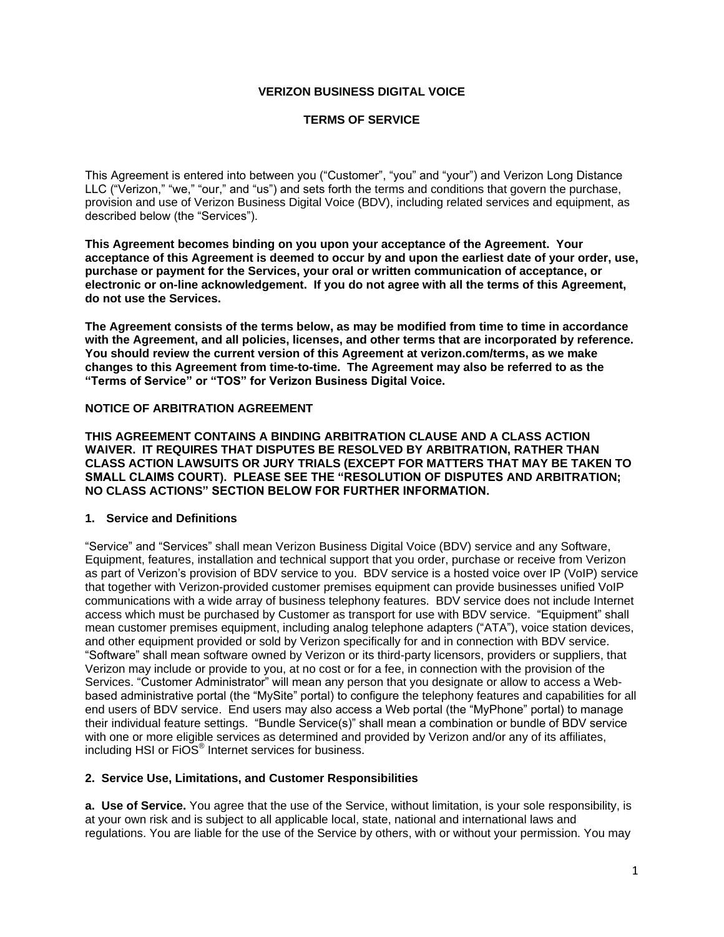### **VERIZON BUSINESS DIGITAL VOICE**

### **TERMS OF SERVICE**

This Agreement is entered into between you ("Customer", "you" and "your") and Verizon Long Distance LLC ("Verizon," "we," "our," and "us") and sets forth the terms and conditions that govern the purchase, provision and use of Verizon Business Digital Voice (BDV), including related services and equipment, as described below (the "Services").

**This Agreement becomes binding on you upon your acceptance of the Agreement. Your acceptance of this Agreement is deemed to occur by and upon the earliest date of your order, use, purchase or payment for the Services, your oral or written communication of acceptance, or electronic or on-line acknowledgement. If you do not agree with all the terms of this Agreement, do not use the Services.**

**The Agreement consists of the terms below, as may be modified from time to time in accordance with the Agreement, and all policies, licenses, and other terms that are incorporated by reference. You should review the current version of this Agreement at verizon.com/terms, as we make changes to this Agreement from time-to-time. The Agreement may also be referred to as the "Terms of Service" or "TOS" for Verizon Business Digital Voice.**

#### **NOTICE OF ARBITRATION AGREEMENT**

**THIS AGREEMENT CONTAINS A BINDING ARBITRATION CLAUSE AND A CLASS ACTION WAIVER. IT REQUIRES THAT DISPUTES BE RESOLVED BY ARBITRATION, RATHER THAN CLASS ACTION LAWSUITS OR JURY TRIALS (EXCEPT FOR MATTERS THAT MAY BE TAKEN TO SMALL CLAIMS COURT). PLEASE SEE THE "RESOLUTION OF DISPUTES AND ARBITRATION; NO CLASS ACTIONS" SECTION BELOW FOR FURTHER INFORMATION.**

#### **1. Service and Definitions**

"Service" and "Services" shall mean Verizon Business Digital Voice (BDV) service and any Software, Equipment, features, installation and technical support that you order, purchase or receive from Verizon as part of Verizon's provision of BDV service to you. BDV service is a hosted voice over IP (VoIP) service that together with Verizon-provided customer premises equipment can provide businesses unified VoIP communications with a wide array of business telephony features. BDV service does not include Internet access which must be purchased by Customer as transport for use with BDV service. "Equipment" shall mean customer premises equipment, including analog telephone adapters ("ATA"), voice station devices, and other equipment provided or sold by Verizon specifically for and in connection with BDV service. "Software" shall mean software owned by Verizon or its third-party licensors, providers or suppliers, that Verizon may include or provide to you, at no cost or for a fee, in connection with the provision of the Services. "Customer Administrator" will mean any person that you designate or allow to access a Webbased administrative portal (the "MySite" portal) to configure the telephony features and capabilities for all end users of BDV service. End users may also access a Web portal (the "MyPhone" portal) to manage their individual feature settings. "Bundle Service(s)" shall mean a combination or bundle of BDV service with one or more eligible services as determined and provided by Verizon and/or any of its affiliates, including HSI or FiOS<sup>®</sup> Internet services for business.

# **2. Service Use, Limitations, and Customer Responsibilities**

**a. Use of Service.** You agree that the use of the Service, without limitation, is your sole responsibility, is at your own risk and is subject to all applicable local, state, national and international laws and regulations. You are liable for the use of the Service by others, with or without your permission. You may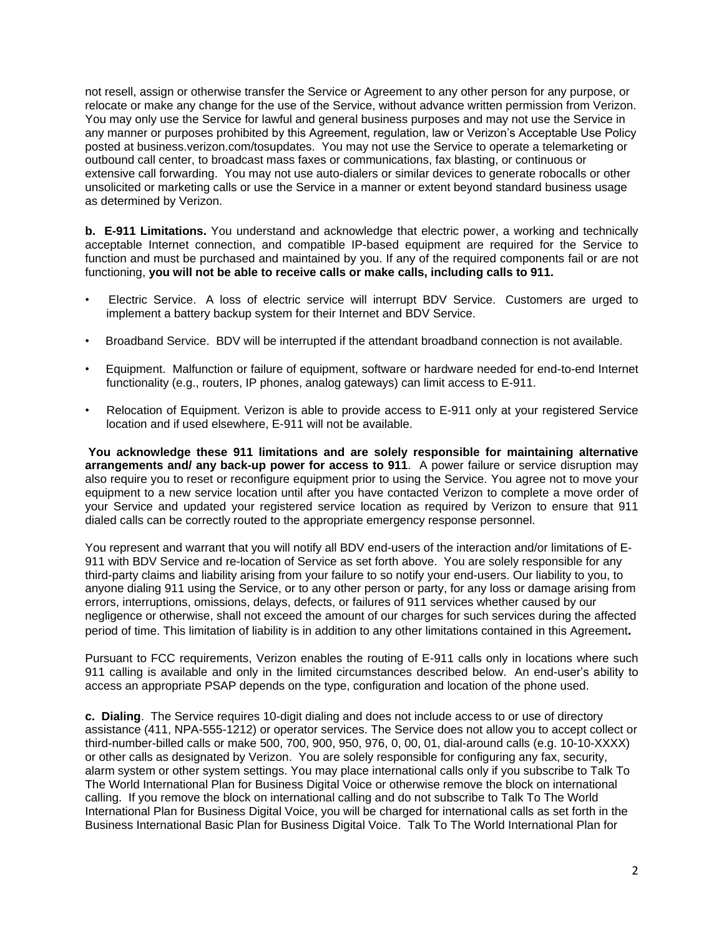not resell, assign or otherwise transfer the Service or Agreement to any other person for any purpose, or relocate or make any change for the use of the Service, without advance written permission from Verizon. You may only use the Service for lawful and general business purposes and may not use the Service in any manner or purposes prohibited by this Agreement, regulation, law or Verizon's Acceptable Use Policy posted at business.verizon.com/tosupdates. You may not use the Service to operate a telemarketing or outbound call center, to broadcast mass faxes or communications, fax blasting, or continuous or extensive call forwarding. You may not use auto-dialers or similar devices to generate robocalls or other unsolicited or marketing calls or use the Service in a manner or extent beyond standard business usage as determined by Verizon.

**b. E-911 Limitations.** You understand and acknowledge that electric power, a working and technically acceptable Internet connection, and compatible IP-based equipment are required for the Service to function and must be purchased and maintained by you. If any of the required components fail or are not functioning, **you will not be able to receive calls or make calls, including calls to 911.**

- Electric Service. A loss of electric service will interrupt BDV Service. Customers are urged to implement a battery backup system for their Internet and BDV Service.
- Broadband Service. BDV will be interrupted if the attendant broadband connection is not available.
- Equipment. Malfunction or failure of equipment, software or hardware needed for end-to-end Internet functionality (e.g., routers, IP phones, analog gateways) can limit access to E-911.
- Relocation of Equipment. Verizon is able to provide access to E-911 only at your registered Service location and if used elsewhere, E-911 will not be available.

**You acknowledge these 911 limitations and are solely responsible for maintaining alternative arrangements and/ any back-up power for access to 911**. A power failure or service disruption may also require you to reset or reconfigure equipment prior to using the Service. You agree not to move your equipment to a new service location until after you have contacted Verizon to complete a move order of your Service and updated your registered service location as required by Verizon to ensure that 911 dialed calls can be correctly routed to the appropriate emergency response personnel.

You represent and warrant that you will notify all BDV end-users of the interaction and/or limitations of E-911 with BDV Service and re-location of Service as set forth above. You are solely responsible for any third-party claims and liability arising from your failure to so notify your end-users. Our liability to you, to anyone dialing 911 using the Service, or to any other person or party, for any loss or damage arising from errors, interruptions, omissions, delays, defects, or failures of 911 services whether caused by our negligence or otherwise, shall not exceed the amount of our charges for such services during the affected period of time. This limitation of liability is in addition to any other limitations contained in this Agreement**.** 

Pursuant to FCC requirements, Verizon enables the routing of E-911 calls only in locations where such 911 calling is available and only in the limited circumstances described below. An end-user's ability to access an appropriate PSAP depends on the type, configuration and location of the phone used.

**c. Dialing**. The Service requires 10-digit dialing and does not include access to or use of directory assistance (411, NPA-555-1212) or operator services. The Service does not allow you to accept collect or third-number-billed calls or make 500, 700, 900, 950, 976, 0, 00, 01, dial-around calls (e.g. 10-10-XXXX) or other calls as designated by Verizon. You are solely responsible for configuring any fax, security, alarm system or other system settings. You may place international calls only if you subscribe to Talk To The World International Plan for Business Digital Voice or otherwise remove the block on international calling. If you remove the block on international calling and do not subscribe to Talk To The World International Plan for Business Digital Voice, you will be charged for international calls as set forth in the Business International Basic Plan for Business Digital Voice. Talk To The World International Plan for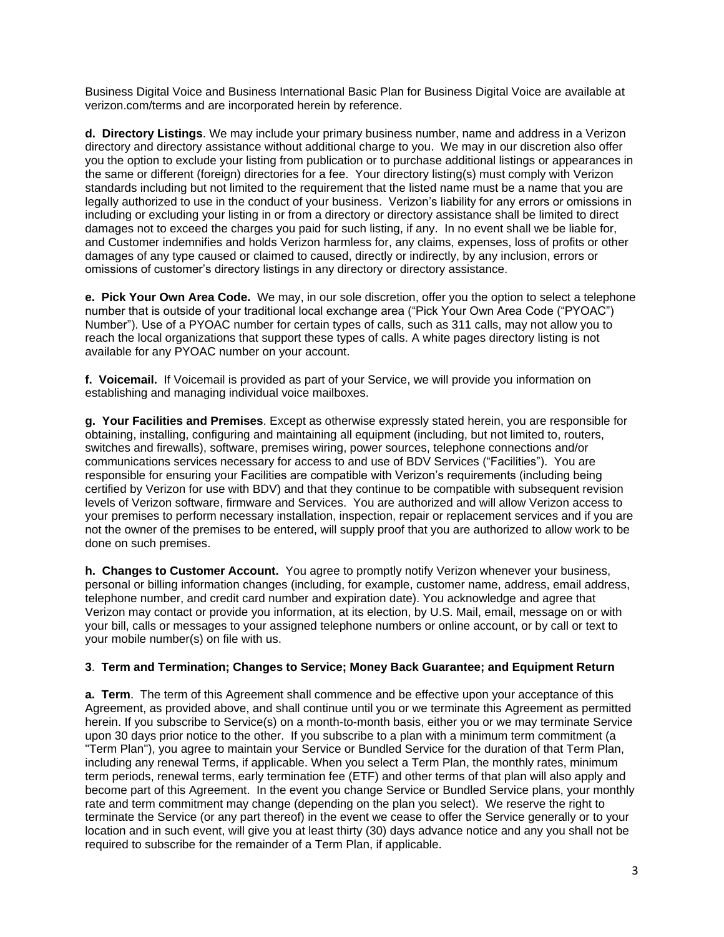Business Digital Voice and Business International Basic Plan for Business Digital Voice are available at verizon.com/terms and are incorporated herein by reference.

**d. Directory Listings**. We may include your primary business number, name and address in a Verizon directory and directory assistance without additional charge to you. We may in our discretion also offer you the option to exclude your listing from publication or to purchase additional listings or appearances in the same or different (foreign) directories for a fee. Your directory listing(s) must comply with Verizon standards including but not limited to the requirement that the listed name must be a name that you are legally authorized to use in the conduct of your business. Verizon's liability for any errors or omissions in including or excluding your listing in or from a directory or directory assistance shall be limited to direct damages not to exceed the charges you paid for such listing, if any. In no event shall we be liable for, and Customer indemnifies and holds Verizon harmless for, any claims, expenses, loss of profits or other damages of any type caused or claimed to caused, directly or indirectly, by any inclusion, errors or omissions of customer's directory listings in any directory or directory assistance.

**e. Pick Your Own Area Code.** We may, in our sole discretion, offer you the option to select a telephone number that is outside of your traditional local exchange area ("Pick Your Own Area Code ("PYOAC") Number"). Use of a PYOAC number for certain types of calls, such as 311 calls, may not allow you to reach the local organizations that support these types of calls. A white pages directory listing is not available for any PYOAC number on your account.

**f. Voicemail.** If Voicemail is provided as part of your Service, we will provide you information on establishing and managing individual voice mailboxes.

**g. Your Facilities and Premises**. Except as otherwise expressly stated herein, you are responsible for obtaining, installing, configuring and maintaining all equipment (including, but not limited to, routers, switches and firewalls), software, premises wiring, power sources, telephone connections and/or communications services necessary for access to and use of BDV Services ("Facilities"). You are responsible for ensuring your Facilities are compatible with Verizon's requirements (including being certified by Verizon for use with BDV) and that they continue to be compatible with subsequent revision levels of Verizon software, firmware and Services. You are authorized and will allow Verizon access to your premises to perform necessary installation, inspection, repair or replacement services and if you are not the owner of the premises to be entered, will supply proof that you are authorized to allow work to be done on such premises.

**h. Changes to Customer Account.** You agree to promptly notify Verizon whenever your business, personal or billing information changes (including, for example, customer name, address, email address, telephone number, and credit card number and expiration date). You acknowledge and agree that Verizon may contact or provide you information, at its election, by U.S. Mail, email, message on or with your bill, calls or messages to your assigned telephone numbers or online account, or by call or text to your mobile number(s) on file with us.

### **3**. **Term and Termination; Changes to Service; Money Back Guarantee; and Equipment Return**

**a. Term**. The term of this Agreement shall commence and be effective upon your acceptance of this Agreement, as provided above, and shall continue until you or we terminate this Agreement as permitted herein. If you subscribe to Service(s) on a month-to-month basis, either you or we may terminate Service upon 30 days prior notice to the other. If you subscribe to a plan with a minimum term commitment (a "Term Plan"), you agree to maintain your Service or Bundled Service for the duration of that Term Plan, including any renewal Terms, if applicable. When you select a Term Plan, the monthly rates, minimum term periods, renewal terms, early termination fee (ETF) and other terms of that plan will also apply and become part of this Agreement. In the event you change Service or Bundled Service plans, your monthly rate and term commitment may change (depending on the plan you select). We reserve the right to terminate the Service (or any part thereof) in the event we cease to offer the Service generally or to your location and in such event, will give you at least thirty (30) days advance notice and any you shall not be required to subscribe for the remainder of a Term Plan, if applicable.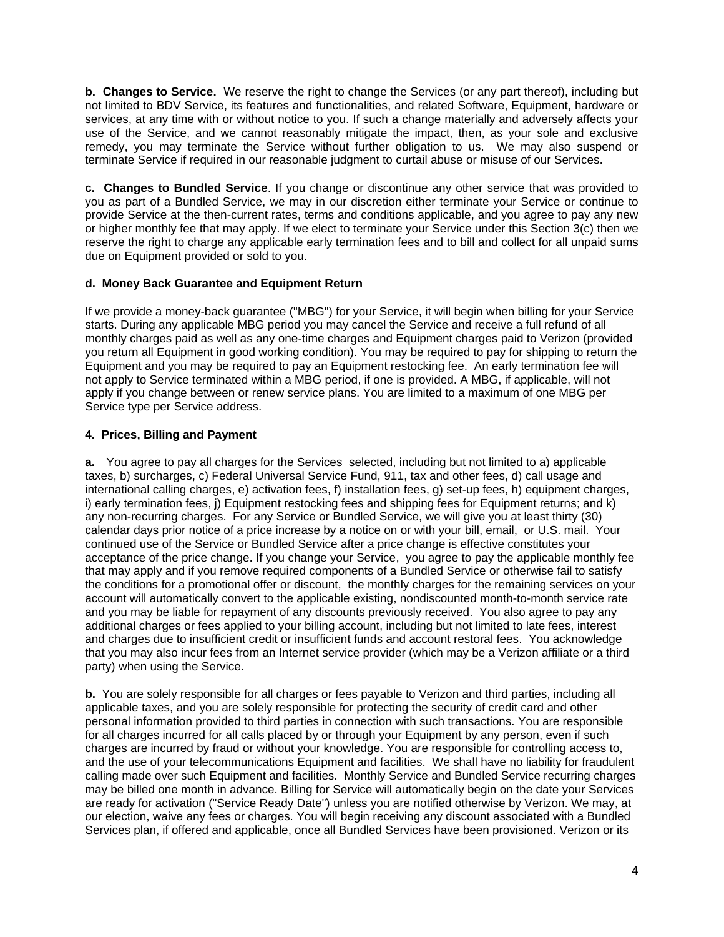**b. Changes to Service.** We reserve the right to change the Services (or any part thereof), including but not limited to BDV Service, its features and functionalities, and related Software, Equipment, hardware or services, at any time with or without notice to you. If such a change materially and adversely affects your use of the Service, and we cannot reasonably mitigate the impact, then, as your sole and exclusive remedy, you may terminate the Service without further obligation to us. We may also suspend or terminate Service if required in our reasonable judgment to curtail abuse or misuse of our Services.

**c. Changes to Bundled Service**. If you change or discontinue any other service that was provided to you as part of a Bundled Service, we may in our discretion either terminate your Service or continue to provide Service at the then-current rates, terms and conditions applicable, and you agree to pay any new or higher monthly fee that may apply. If we elect to terminate your Service under this Section 3(c) then we reserve the right to charge any applicable early termination fees and to bill and collect for all unpaid sums due on Equipment provided or sold to you.

# **d. Money Back Guarantee and Equipment Return**

If we provide a money-back guarantee ("MBG") for your Service, it will begin when billing for your Service starts. During any applicable MBG period you may cancel the Service and receive a full refund of all monthly charges paid as well as any one-time charges and Equipment charges paid to Verizon (provided you return all Equipment in good working condition). You may be required to pay for shipping to return the Equipment and you may be required to pay an Equipment restocking fee. An early termination fee will not apply to Service terminated within a MBG period, if one is provided. A MBG, if applicable, will not apply if you change between or renew service plans. You are limited to a maximum of one MBG per Service type per Service address.

# **4. Prices, Billing and Payment**

**a.** You agree to pay all charges for the Services selected, including but not limited to a) applicable taxes, b) surcharges, c) Federal Universal Service Fund, 911, tax and other fees, d) call usage and international calling charges, e) activation fees, f) installation fees, g) set-up fees, h) equipment charges, i) early termination fees, j) Equipment restocking fees and shipping fees for Equipment returns; and k) any non-recurring charges. For any Service or Bundled Service, we will give you at least thirty (30) calendar days prior notice of a price increase by a notice on or with your bill, email, or U.S. mail. Your continued use of the Service or Bundled Service after a price change is effective constitutes your acceptance of the price change. If you change your Service, you agree to pay the applicable monthly fee that may apply and if you remove required components of a Bundled Service or otherwise fail to satisfy the conditions for a promotional offer or discount, the monthly charges for the remaining services on your account will automatically convert to the applicable existing, nondiscounted month-to-month service rate and you may be liable for repayment of any discounts previously received. You also agree to pay any additional charges or fees applied to your billing account, including but not limited to late fees, interest and charges due to insufficient credit or insufficient funds and account restoral fees. You acknowledge that you may also incur fees from an Internet service provider (which may be a Verizon affiliate or a third party) when using the Service.

**b.** You are solely responsible for all charges or fees payable to Verizon and third parties, including all applicable taxes, and you are solely responsible for protecting the security of credit card and other personal information provided to third parties in connection with such transactions. You are responsible for all charges incurred for all calls placed by or through your Equipment by any person, even if such charges are incurred by fraud or without your knowledge. You are responsible for controlling access to, and the use of your telecommunications Equipment and facilities. We shall have no liability for fraudulent calling made over such Equipment and facilities. Monthly Service and Bundled Service recurring charges may be billed one month in advance. Billing for Service will automatically begin on the date your Services are ready for activation ("Service Ready Date") unless you are notified otherwise by Verizon. We may, at our election, waive any fees or charges. You will begin receiving any discount associated with a Bundled Services plan, if offered and applicable, once all Bundled Services have been provisioned. Verizon or its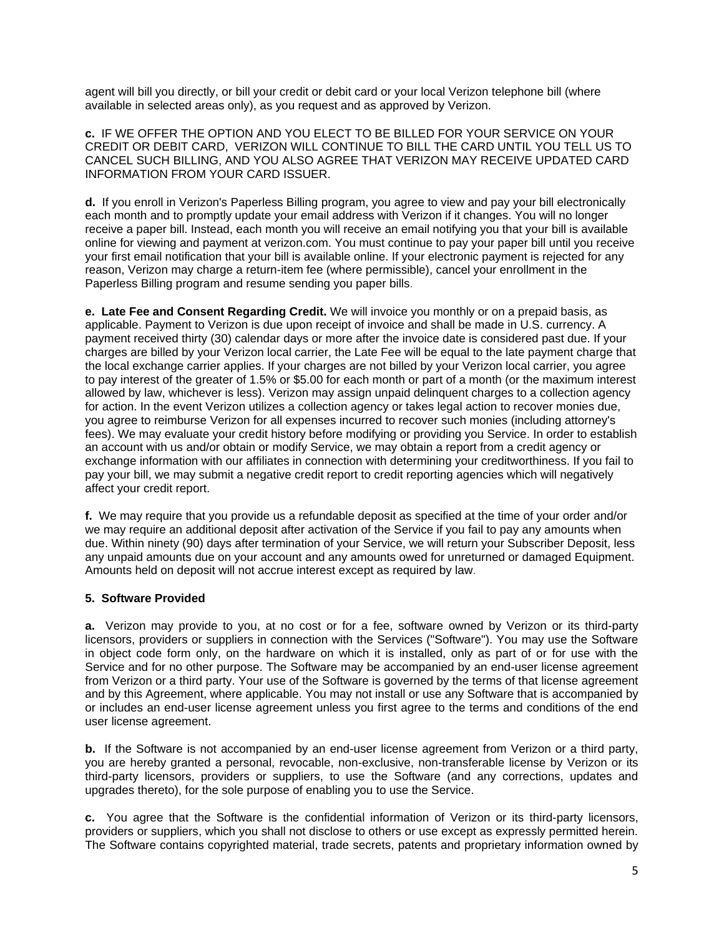agent will bill you directly, or bill your credit or debit card or your local Verizon telephone bill (where available in selected areas only), as you request and as approved by Verizon.

**c.** IF WE OFFER THE OPTION AND YOU ELECT TO BE BILLED FOR YOUR SERVICE ON YOUR CREDIT OR DEBIT CARD, VERIZON WILL CONTINUE TO BILL THE CARD UNTIL YOU TELL US TO CANCEL SUCH BILLING, AND YOU ALSO AGREE THAT VERIZON MAY RECEIVE UPDATED CARD INFORMATION FROM YOUR CARD ISSUER.

**d.** If you enroll in Verizon's Paperless Billing program, you agree to view and pay your bill electronically each month and to promptly update your email address with Verizon if it changes. You will no longer receive a paper bill. Instead, each month you will receive an email notifying you that your bill is available online for viewing and payment at verizon.com. You must continue to pay your paper bill until you receive your first email notification that your bill is available online. If your electronic payment is rejected for any reason, Verizon may charge a return-item fee (where permissible), cancel your enrollment in the Paperless Billing program and resume sending you paper bills.

**e. Late Fee and Consent Regarding Credit.** We will invoice you monthly or on a prepaid basis, as applicable. Payment to Verizon is due upon receipt of invoice and shall be made in U.S. currency. A payment received thirty (30) calendar days or more after the invoice date is considered past due. If your charges are billed by your Verizon local carrier, the Late Fee will be equal to the late payment charge that the local exchange carrier applies. If your charges are not billed by your Verizon local carrier, you agree to pay interest of the greater of 1.5% or \$5.00 for each month or part of a month (or the maximum interest allowed by law, whichever is less). Verizon may assign unpaid delinquent charges to a collection agency for action. In the event Verizon utilizes a collection agency or takes legal action to recover monies due, you agree to reimburse Verizon for all expenses incurred to recover such monies (including attorney's fees). We may evaluate your credit history before modifying or providing you Service. In order to establish an account with us and/or obtain or modify Service, we may obtain a report from a credit agency or exchange information with our affiliates in connection with determining your creditworthiness. If you fail to pay your bill, we may submit a negative credit report to credit reporting agencies which will negatively affect your credit report.

**f.** We may require that you provide us a refundable deposit as specified at the time of your order and/or we may require an additional deposit after activation of the Service if you fail to pay any amounts when due. Within ninety (90) days after termination of your Service, we will return your Subscriber Deposit, less any unpaid amounts due on your account and any amounts owed for unreturned or damaged Equipment. Amounts held on deposit will not accrue interest except as required by law.

# **5. Software Provided**

**a.** Verizon may provide to you, at no cost or for a fee, software owned by Verizon or its third-party licensors, providers or suppliers in connection with the Services ("Software"). You may use the Software in object code form only, on the hardware on which it is installed, only as part of or for use with the Service and for no other purpose. The Software may be accompanied by an end-user license agreement from Verizon or a third party. Your use of the Software is governed by the terms of that license agreement and by this Agreement, where applicable. You may not install or use any Software that is accompanied by or includes an end-user license agreement unless you first agree to the terms and conditions of the end user license agreement.

**b.** If the Software is not accompanied by an end-user license agreement from Verizon or a third party, you are hereby granted a personal, revocable, non-exclusive, non-transferable license by Verizon or its third-party licensors, providers or suppliers, to use the Software (and any corrections, updates and upgrades thereto), for the sole purpose of enabling you to use the Service.

**c.** You agree that the Software is the confidential information of Verizon or its third-party licensors, providers or suppliers, which you shall not disclose to others or use except as expressly permitted herein. The Software contains copyrighted material, trade secrets, patents and proprietary information owned by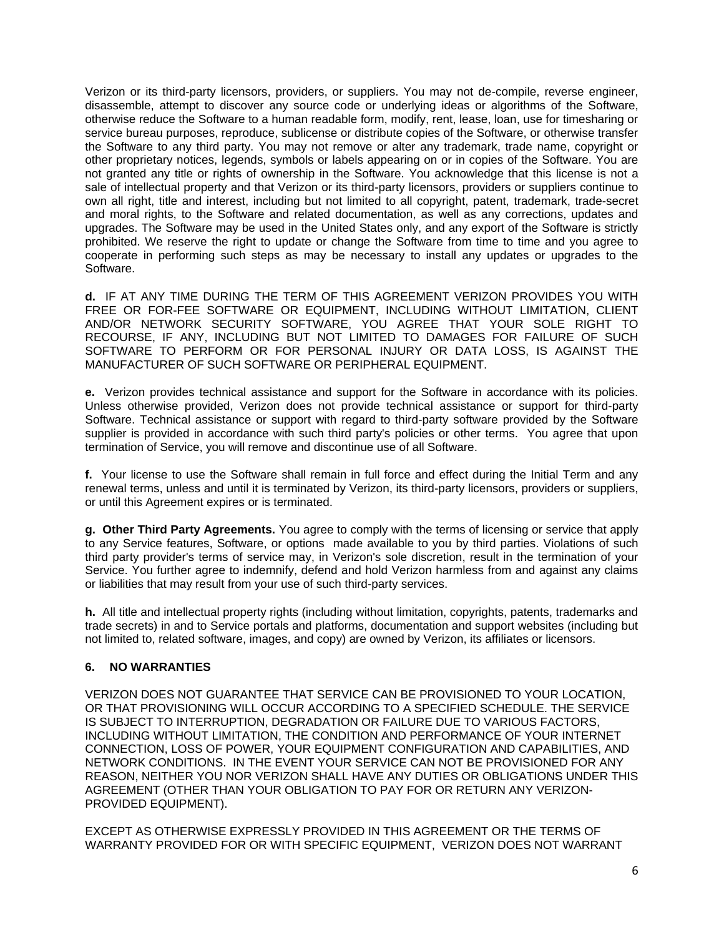Verizon or its third-party licensors, providers, or suppliers. You may not de-compile, reverse engineer, disassemble, attempt to discover any source code or underlying ideas or algorithms of the Software, otherwise reduce the Software to a human readable form, modify, rent, lease, loan, use for timesharing or service bureau purposes, reproduce, sublicense or distribute copies of the Software, or otherwise transfer the Software to any third party. You may not remove or alter any trademark, trade name, copyright or other proprietary notices, legends, symbols or labels appearing on or in copies of the Software. You are not granted any title or rights of ownership in the Software. You acknowledge that this license is not a sale of intellectual property and that Verizon or its third-party licensors, providers or suppliers continue to own all right, title and interest, including but not limited to all copyright, patent, trademark, trade-secret and moral rights, to the Software and related documentation, as well as any corrections, updates and upgrades. The Software may be used in the United States only, and any export of the Software is strictly prohibited. We reserve the right to update or change the Software from time to time and you agree to cooperate in performing such steps as may be necessary to install any updates or upgrades to the Software.

**d.** IF AT ANY TIME DURING THE TERM OF THIS AGREEMENT VERIZON PROVIDES YOU WITH FREE OR FOR-FEE SOFTWARE OR EQUIPMENT, INCLUDING WITHOUT LIMITATION, CLIENT AND/OR NETWORK SECURITY SOFTWARE, YOU AGREE THAT YOUR SOLE RIGHT TO RECOURSE, IF ANY, INCLUDING BUT NOT LIMITED TO DAMAGES FOR FAILURE OF SUCH SOFTWARE TO PERFORM OR FOR PERSONAL INJURY OR DATA LOSS, IS AGAINST THE MANUFACTURER OF SUCH SOFTWARE OR PERIPHERAL EQUIPMENT.

**e.** Verizon provides technical assistance and support for the Software in accordance with its policies. Unless otherwise provided, Verizon does not provide technical assistance or support for third-party Software. Technical assistance or support with regard to third-party software provided by the Software supplier is provided in accordance with such third party's policies or other terms. You agree that upon termination of Service, you will remove and discontinue use of all Software.

**f.** Your license to use the Software shall remain in full force and effect during the Initial Term and any renewal terms, unless and until it is terminated by Verizon, its third-party licensors, providers or suppliers, or until this Agreement expires or is terminated.

**g. Other Third Party Agreements.** You agree to comply with the terms of licensing or service that apply to any Service features, Software, or options made available to you by third parties. Violations of such third party provider's terms of service may, in Verizon's sole discretion, result in the termination of your Service. You further agree to indemnify, defend and hold Verizon harmless from and against any claims or liabilities that may result from your use of such third-party services.

**h.** All title and intellectual property rights (including without limitation, copyrights, patents, trademarks and trade secrets) in and to Service portals and platforms, documentation and support websites (including but not limited to, related software, images, and copy) are owned by Verizon, its affiliates or licensors.

# **6. NO WARRANTIES**

VERIZON DOES NOT GUARANTEE THAT SERVICE CAN BE PROVISIONED TO YOUR LOCATION, OR THAT PROVISIONING WILL OCCUR ACCORDING TO A SPECIFIED SCHEDULE. THE SERVICE IS SUBJECT TO INTERRUPTION, DEGRADATION OR FAILURE DUE TO VARIOUS FACTORS, INCLUDING WITHOUT LIMITATION, THE CONDITION AND PERFORMANCE OF YOUR INTERNET CONNECTION, LOSS OF POWER, YOUR EQUIPMENT CONFIGURATION AND CAPABILITIES, AND NETWORK CONDITIONS. IN THE EVENT YOUR SERVICE CAN NOT BE PROVISIONED FOR ANY REASON, NEITHER YOU NOR VERIZON SHALL HAVE ANY DUTIES OR OBLIGATIONS UNDER THIS AGREEMENT (OTHER THAN YOUR OBLIGATION TO PAY FOR OR RETURN ANY VERIZON-PROVIDED EQUIPMENT).

EXCEPT AS OTHERWISE EXPRESSLY PROVIDED IN THIS AGREEMENT OR THE TERMS OF WARRANTY PROVIDED FOR OR WITH SPECIFIC EQUIPMENT, VERIZON DOES NOT WARRANT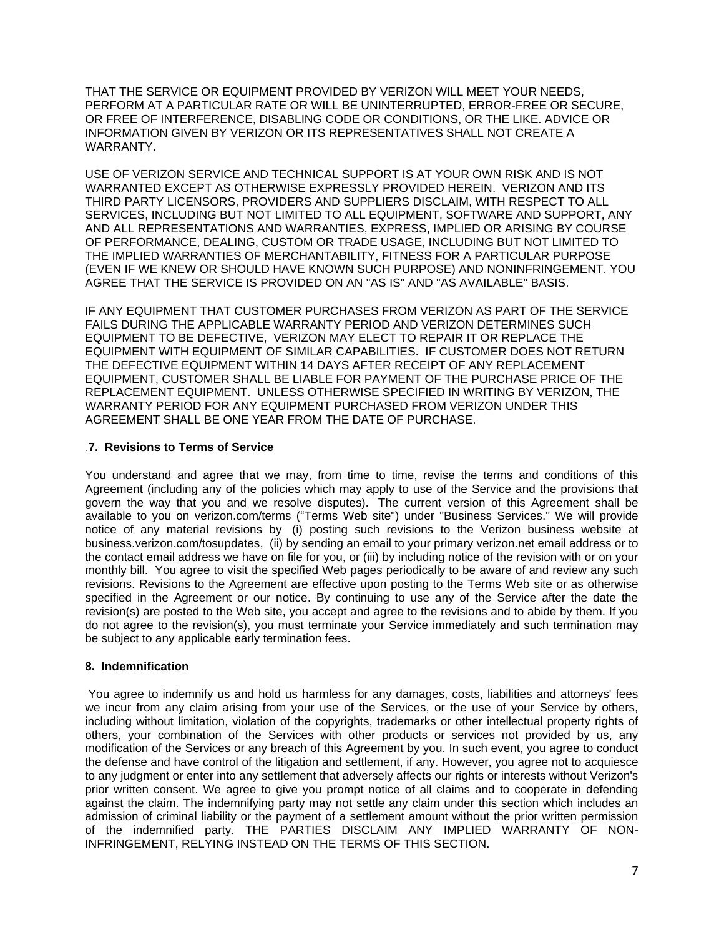THAT THE SERVICE OR EQUIPMENT PROVIDED BY VERIZON WILL MEET YOUR NEEDS, PERFORM AT A PARTICULAR RATE OR WILL BE UNINTERRUPTED, ERROR-FREE OR SECURE, OR FREE OF INTERFERENCE, DISABLING CODE OR CONDITIONS, OR THE LIKE. ADVICE OR INFORMATION GIVEN BY VERIZON OR ITS REPRESENTATIVES SHALL NOT CREATE A WARRANTY.

USE OF VERIZON SERVICE AND TECHNICAL SUPPORT IS AT YOUR OWN RISK AND IS NOT WARRANTED EXCEPT AS OTHERWISE EXPRESSLY PROVIDED HEREIN. VERIZON AND ITS THIRD PARTY LICENSORS, PROVIDERS AND SUPPLIERS DISCLAIM, WITH RESPECT TO ALL SERVICES, INCLUDING BUT NOT LIMITED TO ALL EQUIPMENT, SOFTWARE AND SUPPORT, ANY AND ALL REPRESENTATIONS AND WARRANTIES, EXPRESS, IMPLIED OR ARISING BY COURSE OF PERFORMANCE, DEALING, CUSTOM OR TRADE USAGE, INCLUDING BUT NOT LIMITED TO THE IMPLIED WARRANTIES OF MERCHANTABILITY, FITNESS FOR A PARTICULAR PURPOSE (EVEN IF WE KNEW OR SHOULD HAVE KNOWN SUCH PURPOSE) AND NONINFRINGEMENT. YOU AGREE THAT THE SERVICE IS PROVIDED ON AN "AS IS" AND "AS AVAILABLE" BASIS.

IF ANY EQUIPMENT THAT CUSTOMER PURCHASES FROM VERIZON AS PART OF THE SERVICE FAILS DURING THE APPLICABLE WARRANTY PERIOD AND VERIZON DETERMINES SUCH EQUIPMENT TO BE DEFECTIVE, VERIZON MAY ELECT TO REPAIR IT OR REPLACE THE EQUIPMENT WITH EQUIPMENT OF SIMILAR CAPABILITIES. IF CUSTOMER DOES NOT RETURN THE DEFECTIVE EQUIPMENT WITHIN 14 DAYS AFTER RECEIPT OF ANY REPLACEMENT EQUIPMENT, CUSTOMER SHALL BE LIABLE FOR PAYMENT OF THE PURCHASE PRICE OF THE REPLACEMENT EQUIPMENT. UNLESS OTHERWISE SPECIFIED IN WRITING BY VERIZON, THE WARRANTY PERIOD FOR ANY EQUIPMENT PURCHASED FROM VERIZON UNDER THIS AGREEMENT SHALL BE ONE YEAR FROM THE DATE OF PURCHASE.

# .**7. Revisions to Terms of Service**

You understand and agree that we may, from time to time, revise the terms and conditions of this Agreement (including any of the policies which may apply to use of the Service and the provisions that govern the way that you and we resolve disputes). The current version of this Agreement shall be available to you on [verizon.com/terms](http://www.verizon.com/about/terms/) ("Terms Web site") under "Business Services." We will provide notice of any material revisions by (i) posting such revisions to the Verizon business website at [business.verizon.com/tosupdates,](http://business.verizon.com/tosupdates) (ii) by sending an email to your primary verizon.net email address or to the contact email address we have on file for you, or (iii) by including notice of the revision with or on your monthly bill. You agree to visit the specified Web pages periodically to be aware of and review any such revisions. Revisions to the Agreement are effective upon posting to the Terms Web site or as otherwise specified in the Agreement or our notice. By continuing to use any of the Service after the date the revision(s) are posted to the Web site, you accept and agree to the revisions and to abide by them. If you do not agree to the revision(s), you must terminate your Service immediately and such termination may be subject to any applicable early termination fees.

# **8. Indemnification**

You agree to indemnify us and hold us harmless for any damages, costs, liabilities and attorneys' fees we incur from any claim arising from your use of the Services, or the use of your Service by others, including without limitation, violation of the copyrights, trademarks or other intellectual property rights of others, your combination of the Services with other products or services not provided by us, any modification of the Services or any breach of this Agreement by you. In such event, you agree to conduct the defense and have control of the litigation and settlement, if any. However, you agree not to acquiesce to any judgment or enter into any settlement that adversely affects our rights or interests without Verizon's prior written consent. We agree to give you prompt notice of all claims and to cooperate in defending against the claim. The indemnifying party may not settle any claim under this section which includes an admission of criminal liability or the payment of a settlement amount without the prior written permission of the indemnified party. THE PARTIES DISCLAIM ANY IMPLIED WARRANTY OF NON-INFRINGEMENT, RELYING INSTEAD ON THE TERMS OF THIS SECTION.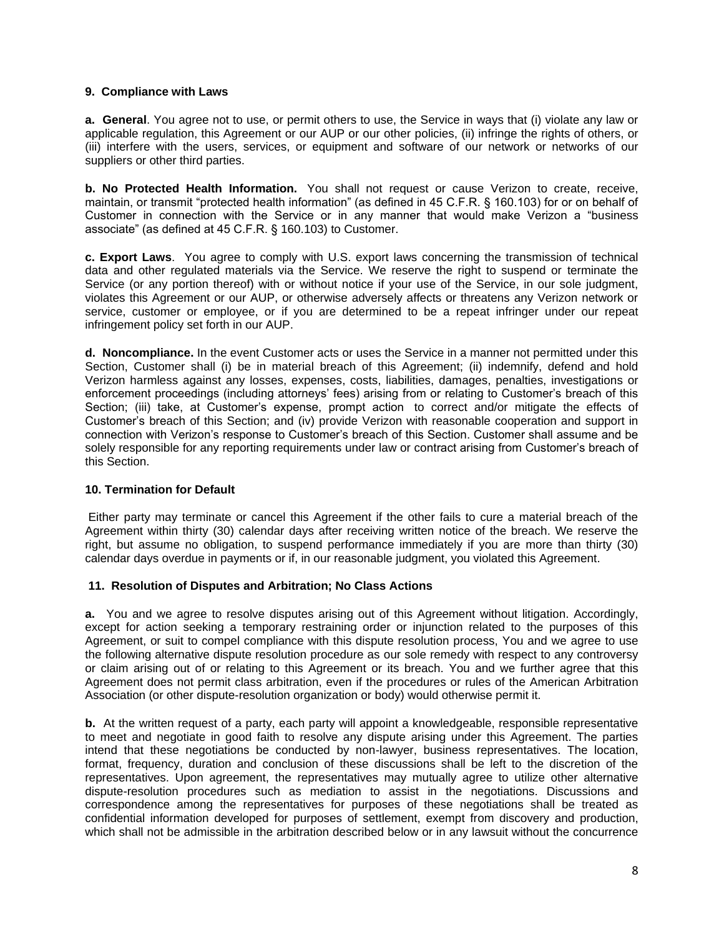#### **9. Compliance with Laws**

**a. General**. You agree not to use, or permit others to use, the Service in ways that (i) violate any law or applicable regulation, this Agreement or our AUP or our other policies, (ii) infringe the rights of others, or (iii) interfere with the users, services, or equipment and software of our network or networks of our suppliers or other third parties.

**b. No Protected Health Information.** You shall not request or cause Verizon to create, receive, maintain, or transmit "protected health information" (as defined in 45 C.F.R. § 160.103) for or on behalf of Customer in connection with the Service or in any manner that would make Verizon a "business associate" (as defined at 45 C.F.R. § 160.103) to Customer.

**c. Export Laws**. You agree to comply with U.S. export laws concerning the transmission of technical data and other regulated materials via the Service. We reserve the right to suspend or terminate the Service (or any portion thereof) with or without notice if your use of the Service, in our sole judgment, violates this Agreement or our AUP, or otherwise adversely affects or threatens any Verizon network or service, customer or employee, or if you are determined to be a repeat infringer under our repeat infringement policy set forth in our AUP.

**d. Noncompliance.** In the event Customer acts or uses the Service in a manner not permitted under this Section, Customer shall (i) be in material breach of this Agreement; (ii) indemnify, defend and hold Verizon harmless against any losses, expenses, costs, liabilities, damages, penalties, investigations or enforcement proceedings (including attorneys' fees) arising from or relating to Customer's breach of this Section; (iii) take, at Customer's expense, prompt action to correct and/or mitigate the effects of Customer's breach of this Section; and (iv) provide Verizon with reasonable cooperation and support in connection with Verizon's response to Customer's breach of this Section. Customer shall assume and be solely responsible for any reporting requirements under law or contract arising from Customer's breach of this Section.

# **10. Termination for Default**

Either party may terminate or cancel this Agreement if the other fails to cure a material breach of the Agreement within thirty (30) calendar days after receiving written notice of the breach. We reserve the right, but assume no obligation, to suspend performance immediately if you are more than thirty (30) calendar days overdue in payments or if, in our reasonable judgment, you violated this Agreement.

#### **11. Resolution of Disputes and Arbitration; No Class Actions**

**a.** You and we agree to resolve disputes arising out of this Agreement without litigation. Accordingly, except for action seeking a temporary restraining order or injunction related to the purposes of this Agreement, or suit to compel compliance with this dispute resolution process, You and we agree to use the following alternative dispute resolution procedure as our sole remedy with respect to any controversy or claim arising out of or relating to this Agreement or its breach. You and we further agree that this Agreement does not permit class arbitration, even if the procedures or rules of the American Arbitration Association (or other dispute-resolution organization or body) would otherwise permit it.

**b.** At the written request of a party, each party will appoint a knowledgeable, responsible representative to meet and negotiate in good faith to resolve any dispute arising under this Agreement. The parties intend that these negotiations be conducted by non-lawyer, business representatives. The location, format, frequency, duration and conclusion of these discussions shall be left to the discretion of the representatives. Upon agreement, the representatives may mutually agree to utilize other alternative dispute-resolution procedures such as mediation to assist in the negotiations. Discussions and correspondence among the representatives for purposes of these negotiations shall be treated as confidential information developed for purposes of settlement, exempt from discovery and production, which shall not be admissible in the arbitration described below or in any lawsuit without the concurrence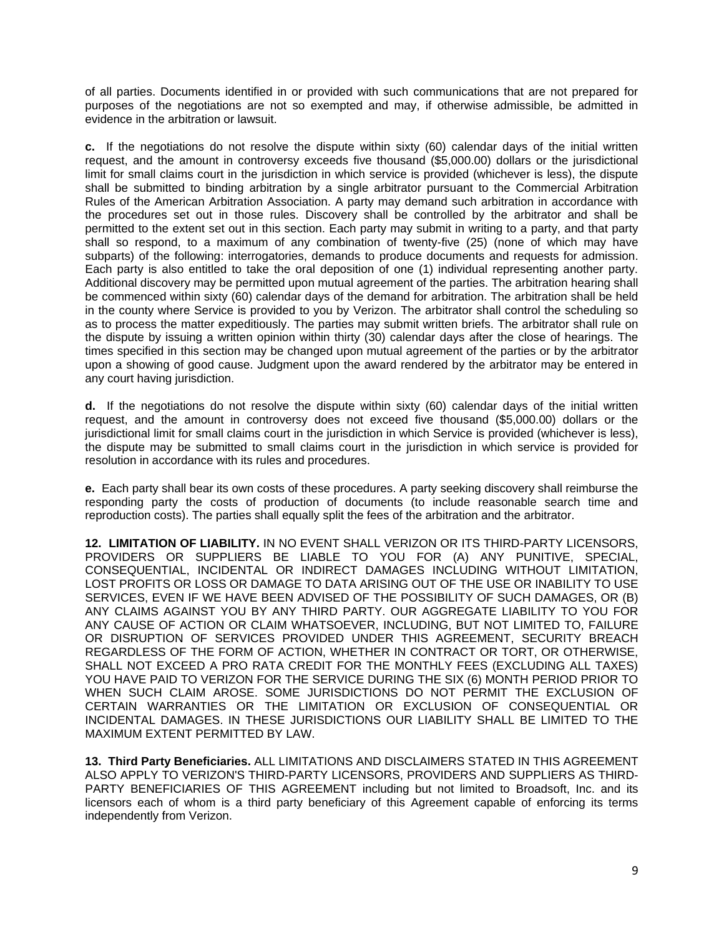of all parties. Documents identified in or provided with such communications that are not prepared for purposes of the negotiations are not so exempted and may, if otherwise admissible, be admitted in evidence in the arbitration or lawsuit.

**c.** If the negotiations do not resolve the dispute within sixty (60) calendar days of the initial written request, and the amount in controversy exceeds five thousand (\$5,000.00) dollars or the jurisdictional limit for small claims court in the jurisdiction in which service is provided (whichever is less), the dispute shall be submitted to binding arbitration by a single arbitrator pursuant to the Commercial Arbitration Rules of the American Arbitration Association. A party may demand such arbitration in accordance with the procedures set out in those rules. Discovery shall be controlled by the arbitrator and shall be permitted to the extent set out in this section. Each party may submit in writing to a party, and that party shall so respond, to a maximum of any combination of twenty-five (25) (none of which may have subparts) of the following: interrogatories, demands to produce documents and requests for admission. Each party is also entitled to take the oral deposition of one (1) individual representing another party. Additional discovery may be permitted upon mutual agreement of the parties. The arbitration hearing shall be commenced within sixty (60) calendar days of the demand for arbitration. The arbitration shall be held in the county where Service is provided to you by Verizon. The arbitrator shall control the scheduling so as to process the matter expeditiously. The parties may submit written briefs. The arbitrator shall rule on the dispute by issuing a written opinion within thirty (30) calendar days after the close of hearings. The times specified in this section may be changed upon mutual agreement of the parties or by the arbitrator upon a showing of good cause. Judgment upon the award rendered by the arbitrator may be entered in any court having jurisdiction.

**d.** If the negotiations do not resolve the dispute within sixty (60) calendar days of the initial written request, and the amount in controversy does not exceed five thousand (\$5,000.00) dollars or the jurisdictional limit for small claims court in the jurisdiction in which Service is provided (whichever is less), the dispute may be submitted to small claims court in the jurisdiction in which service is provided for resolution in accordance with its rules and procedures.

**e.** Each party shall bear its own costs of these procedures. A party seeking discovery shall reimburse the responding party the costs of production of documents (to include reasonable search time and reproduction costs). The parties shall equally split the fees of the arbitration and the arbitrator.

**12. LIMITATION OF LIABILITY.** IN NO EVENT SHALL VERIZON OR ITS THIRD-PARTY LICENSORS, PROVIDERS OR SUPPLIERS BE LIABLE TO YOU FOR (A) ANY PUNITIVE, SPECIAL, CONSEQUENTIAL, INCIDENTAL OR INDIRECT DAMAGES INCLUDING WITHOUT LIMITATION, LOST PROFITS OR LOSS OR DAMAGE TO DATA ARISING OUT OF THE USE OR INABILITY TO USE SERVICES, EVEN IF WE HAVE BEEN ADVISED OF THE POSSIBILITY OF SUCH DAMAGES, OR (B) ANY CLAIMS AGAINST YOU BY ANY THIRD PARTY. OUR AGGREGATE LIABILITY TO YOU FOR ANY CAUSE OF ACTION OR CLAIM WHATSOEVER, INCLUDING, BUT NOT LIMITED TO, FAILURE OR DISRUPTION OF SERVICES PROVIDED UNDER THIS AGREEMENT, SECURITY BREACH REGARDLESS OF THE FORM OF ACTION, WHETHER IN CONTRACT OR TORT, OR OTHERWISE, SHALL NOT EXCEED A PRO RATA CREDIT FOR THE MONTHLY FEES (EXCLUDING ALL TAXES) YOU HAVE PAID TO VERIZON FOR THE SERVICE DURING THE SIX (6) MONTH PERIOD PRIOR TO WHEN SUCH CLAIM AROSE. SOME JURISDICTIONS DO NOT PERMIT THE EXCLUSION OF CERTAIN WARRANTIES OR THE LIMITATION OR EXCLUSION OF CONSEQUENTIAL OR INCIDENTAL DAMAGES. IN THESE JURISDICTIONS OUR LIABILITY SHALL BE LIMITED TO THE MAXIMUM EXTENT PERMITTED BY LAW.

**13. Third Party Beneficiaries.** ALL LIMITATIONS AND DISCLAIMERS STATED IN THIS AGREEMENT ALSO APPLY TO VERIZON'S THIRD-PARTY LICENSORS, PROVIDERS AND SUPPLIERS AS THIRD-PARTY BENEFICIARIES OF THIS AGREEMENT including but not limited to Broadsoft, Inc. and its licensors each of whom is a third party beneficiary of this Agreement capable of enforcing its terms independently from Verizon.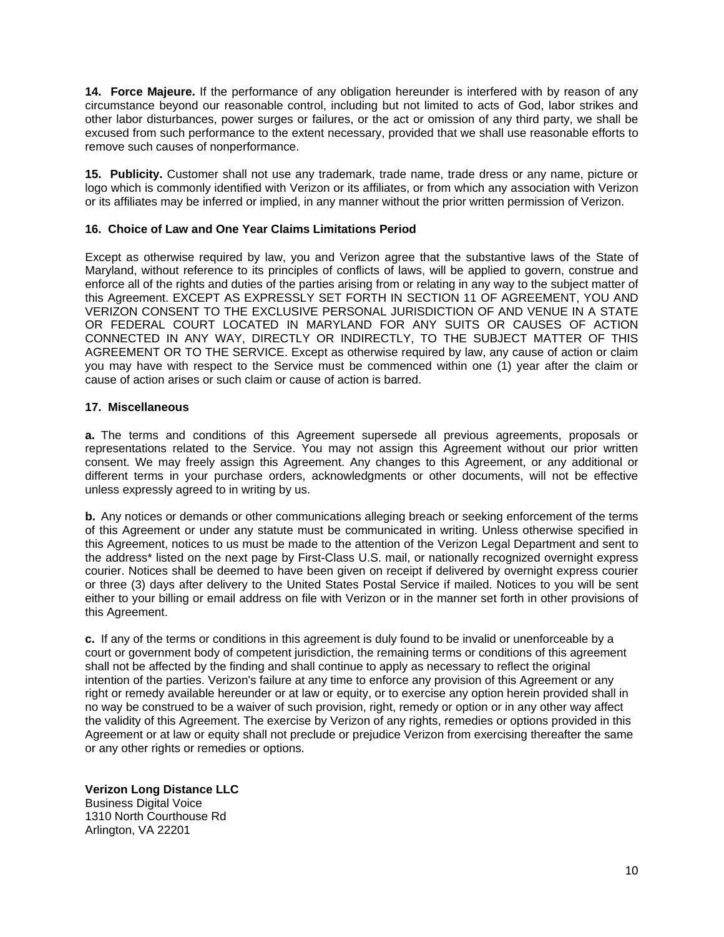**14. Force Majeure.** If the performance of any obligation hereunder is interfered with by reason of any circumstance beyond our reasonable control, including but not limited to acts of God, labor strikes and other labor disturbances, power surges or failures, or the act or omission of any third party, we shall be excused from such performance to the extent necessary, provided that we shall use reasonable efforts to remove such causes of nonperformance.

**15. Publicity.** Customer shall not use any trademark, trade name, trade dress or any name, picture or logo which is commonly identified with Verizon or its affiliates, or from which any association with Verizon or its affiliates may be inferred or implied, in any manner without the prior written permission of Verizon.

### **16. Choice of Law and One Year Claims Limitations Period**

Except as otherwise required by law, you and Verizon agree that the substantive laws of the State of Maryland, without reference to its principles of conflicts of laws, will be applied to govern, construe and enforce all of the rights and duties of the parties arising from or relating in any way to the subject matter of this Agreement. EXCEPT AS EXPRESSLY SET FORTH IN SECTION 11 OF AGREEMENT, YOU AND VERIZON CONSENT TO THE EXCLUSIVE PERSONAL JURISDICTION OF AND VENUE IN A STATE OR FEDERAL COURT LOCATED IN MARYLAND FOR ANY SUITS OR CAUSES OF ACTION CONNECTED IN ANY WAY, DIRECTLY OR INDIRECTLY, TO THE SUBJECT MATTER OF THIS AGREEMENT OR TO THE SERVICE. Except as otherwise required by law, any cause of action or claim you may have with respect to the Service must be commenced within one (1) year after the claim or cause of action arises or such claim or cause of action is barred.

### **17. Miscellaneous**

**a.** The terms and conditions of this Agreement supersede all previous agreements, proposals or representations related to the Service. You may not assign this Agreement without our prior written consent. We may freely assign this Agreement. Any changes to this Agreement, or any additional or different terms in your purchase orders, acknowledgments or other documents, will not be effective unless expressly agreed to in writing by us.

**b.** Any notices or demands or other communications alleging breach or seeking enforcement of the terms of this Agreement or under any statute must be communicated in writing. Unless otherwise specified in this Agreement, notices to us must be made to the attention of the Verizon Legal Department and sent to the address\* listed on the next page by First-Class U.S. mail, or nationally recognized overnight express courier. Notices shall be deemed to have been given on receipt if delivered by overnight express courier or three (3) days after delivery to the United States Postal Service if mailed. Notices to you will be sent either to your billing or email address on file with Verizon or in the manner set forth in other provisions of this Agreement.

**c.** If any of the terms or conditions in this agreement is duly found to be invalid or unenforceable by a court or government body of competent jurisdiction, the remaining terms or conditions of this agreement shall not be affected by the finding and shall continue to apply as necessary to reflect the original intention of the parties. Verizon's failure at any time to enforce any provision of this Agreement or any right or remedy available hereunder or at law or equity, or to exercise any option herein provided shall in no way be construed to be a waiver of such provision, right, remedy or option or in any other way affect the validity of this Agreement. The exercise by Verizon of any rights, remedies or options provided in this Agreement or at law or equity shall not preclude or prejudice Verizon from exercising thereafter the same or any other rights or remedies or options.

**Verizon Long Distance LLC** Business Digital Voice 1310 North Courthouse Rd Arlington, VA 22201